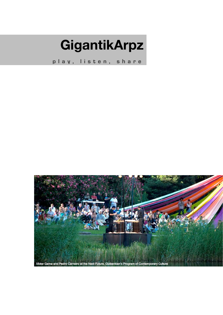## **GigantikArpz**

**play, listen, share**

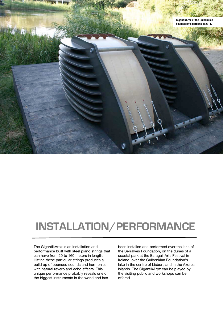

## **INSTALLATION/PERFORMANCE**

The GigantikArpz is an installation and performance built with steel piano strings that can have from 20 to 160 meters in length. Hitting these particular strings produces a build up of bounced sounds and harmonics with natural reverb and echo effects. This unique performance probably reveals one of the biggest instruments in the world and has

been installed and performed over the lake of the Serralves Foundation, on the dunes of a coastal park at the Earagail Arts Festival in Ireland, over the Gulbenkian Foundation's lake in the centre of Lisbon, and in the Azores Islands. The GigantikArpz can be played by the visiting public and workshops can be offered.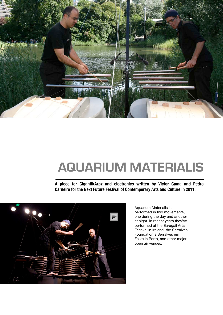

## **AQUARIUM MATERIALIS**

**A piece for GigantikArpz and electronics written by Victor Gama and Pedro Carneiro for the Next Future Festival of Contemporary Arts and Culture in 2011.**



Aquarium Materialis is performed in two movements, one during the day and another at night. In recent years they've performed at the Earagail Arts Festival in Ireland, the Serralves Foundation's Serralves em Festa in Porto, and other major open air venues.